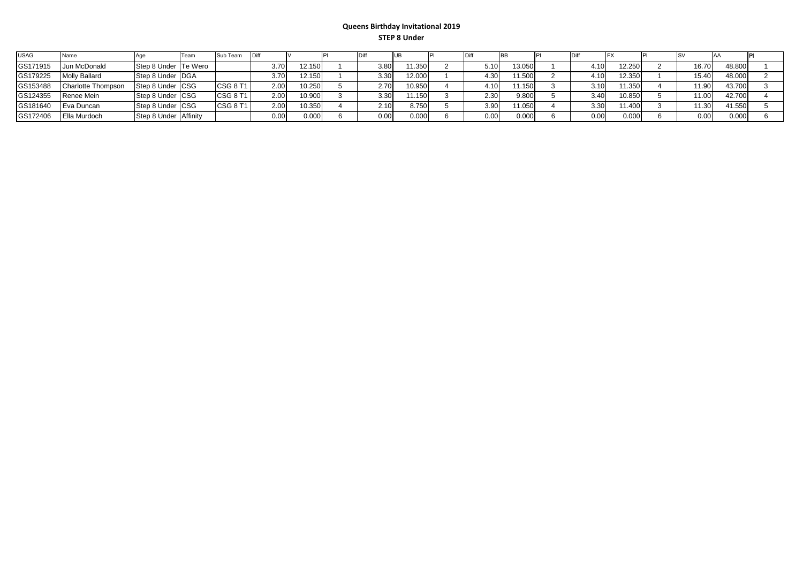## **Queens Birthday Invitational 2019 STEP 8 Under**

| <b>USAG</b> | Name                      |                       | Team | Sub Team        | ∎Diff |        |      |        |      |        |                   |        |        |        |  |
|-------------|---------------------------|-----------------------|------|-----------------|-------|--------|------|--------|------|--------|-------------------|--------|--------|--------|--|
| GS171915    | Jun McDonald              | Step 8 Under Te Wero  |      |                 | 3.70  | 12.150 | 3.80 | 1.350  | 5.10 | 13.050 | 4.10              | 12.250 | 16.70  | 48.800 |  |
| GS179225    | <b>Molly Ballard</b>      | Step 8 Under DGA      |      |                 | 3.70  | 12.150 | 3.30 | 12.000 | 4.30 | 11.500 | 4.10              | 12.350 | 15.40  | 48.000 |  |
| GS153488    | <b>Charlotte Thompson</b> | Step 8 Under CSG      |      | CSG 8 T1        | 2.00  | 10.250 | 2.70 | 10.950 | l.10 | 1.150  | 3.10              | 11.350 | 11.90  | 43.700 |  |
| GS124355    | Renee Mein                | Step 8 Under CSG      |      | <b>CSG 8 T1</b> | 2.00  | 10.900 | 3.30 | 11.150 | 2.30 | 9.800  | 3.40              | 10.850 | 11.00. | 42.700 |  |
| GS181640    | Eva Duncan                | Step 8 Under CSG      |      | CSG 8 T1        | 2.00  | 10.350 | 2.10 | 8.750  | 3.90 | 1.050  | 3.30              | 1.400  | 11.30  | 41.550 |  |
| GS172406    | Ella Murdoch              | Step 8 Under Affinity |      |                 | 0.00  | 0.000  | 0.00 | 0.000  | 0.00 | 0.000  | 0.00 <sub>1</sub> | 0.000  | 0.00   | 0.000  |  |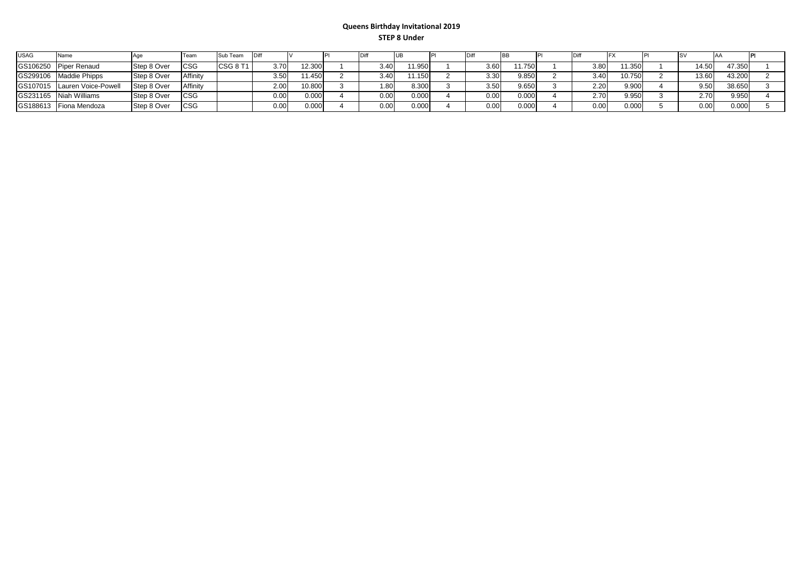## **Queens Birthday Invitational 2019 STEP 8 Under**

| <b>USAG</b> | Name                         |             | Tean       | Sub Team        | - I Dift |        |      |       |                   |       |      |        |       |        |  |
|-------------|------------------------------|-------------|------------|-----------------|----------|--------|------|-------|-------------------|-------|------|--------|-------|--------|--|
|             | GS106250 Piper Renaud        | Step 8 Over | <b>CSG</b> | <b>CSG 8 T1</b> | 3.70     | 12.300 | 3.40 | 1.950 | 3.60              | 1.750 | 3.80 | 1.350  | 14.50 | 47.350 |  |
|             | GS299106 Maddie Phipps       | Step 8 Over | Affinity   |                 | 3.50     | 11.450 | 3.40 | 1.150 | 3.30 <sub>1</sub> | 9.850 | 3.40 | 10.750 | 13.60 | 43.200 |  |
|             | GS107015 Lauren Voice-Powell | Step 8 Over | Affinity   |                 | 2.00     | 10.800 | 1.80 | 8.300 | 3.50              | 9.650 | 2.20 | 9.900  | 9.50  | 38.650 |  |
|             | GS231165 Niah Williams       | Step 8 Over | <b>CSG</b> |                 | 0.00     | 0.000  | 0.00 | 0.000 | 0.00              | 0.000 | 2.70 | 9.950  | ን 7በ  | 9.950  |  |
|             | GS188613 Fiona Mendoza       | Step 8 Over | <b>CSG</b> |                 | 0.00     | 0.000  | 0.00 | 0.000 | 0.00              | 0.000 | 0.00 | 0.000  | 0.00  | 0.000  |  |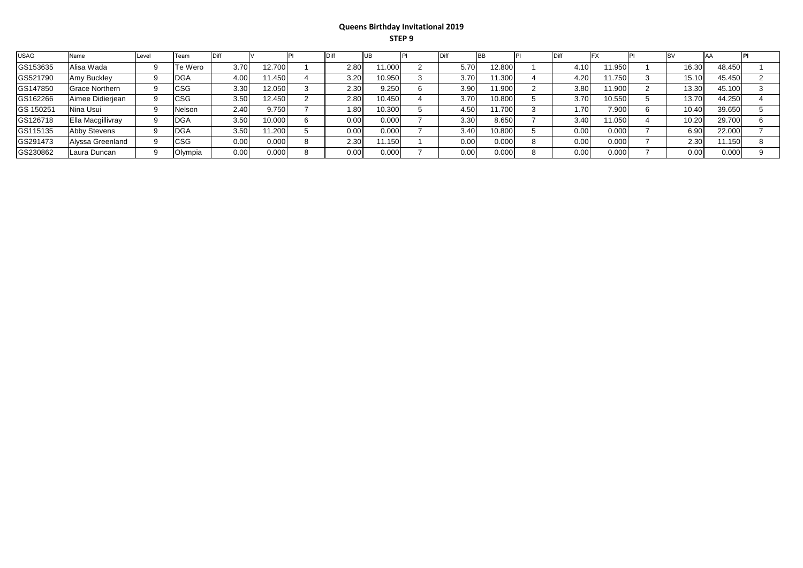## **Queens Birthday Invitational 2019 STEP 9**

| <b>USAG</b> | Name                  | Level | Team       |                   |        |      |        |      |        |      |        |       |        |  |
|-------------|-----------------------|-------|------------|-------------------|--------|------|--------|------|--------|------|--------|-------|--------|--|
| GS153635    | Alisa Wada            |       | Te Wero    | 3.70              | 12.700 | 2.80 | 1.000  | 5.70 | 12.800 | l.10 | 1.950  | 16.30 | 48.450 |  |
| GS521790    | Amy Buckley           |       | DGA        | 4.00              | 1.450  | 3.20 | 10.950 | 3.70 | 11.300 | 4.20 | 1.750  | 15.10 | 45.450 |  |
| GS147850    | <b>Grace Northern</b> |       | <b>CSG</b> | 3.30              | 12.050 | 2.30 | 9.250  | 3.90 | 1.900  | 3.8C | 1.900  | 13.30 | 45.100 |  |
| GS162266    | Aimee Didierjean      |       | <b>CSG</b> | 3.50              | 12.450 | 2.80 | 10.450 | 3.70 | 10.800 | 3.70 | 10.550 | 13.70 | 44.250 |  |
| GS 150251   | Nina Usui             |       | Nelson     | 2.40              | 9.750  | .80  | 10.300 | 4.50 | 11.700 | 1.70 | 7.900  | 10.40 | 39.650 |  |
| GS126718    | Ella Macgillivray     |       | <b>DGA</b> | 3.50 <sub>1</sub> | '0.000 | 0.00 | 0.000  | 3.30 | 8.650  | 3.40 | 11.050 | 10.20 | 29.700 |  |
| GS115135    | <b>Abby Stevens</b>   |       | <b>DGA</b> | 3.50              | 1.200  | 0.00 | 0.000  | 3.40 | 10.800 | 0.00 | 0.000  | 6.90  | 22.000 |  |
| GS291473    | Alyssa Greenland      |       | CSG        | 0.00              | 0.000  | 2.30 | 1.150  | 0.00 | 0.000  | 0.00 | 0.000  | 2.30  | 11.150 |  |
| GS230862    | Laura Duncan          |       | Olympia    | 0.00              | 0.000  | 0.00 | 0.000  | 0.00 | 0.000  | 0.00 | 0.000  | 0.00  | 0.000  |  |